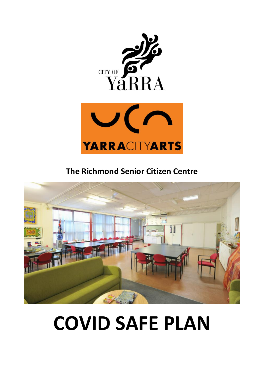



**The Richmond Senior Citizen Centre**



# **COVID SAFE PLAN**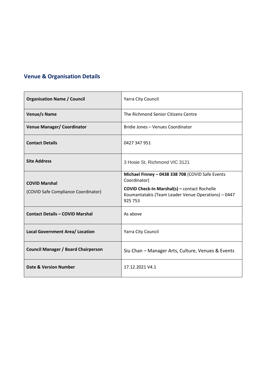## **Venue & Organisation Details**

| <b>Organisation Name / Council</b>         | Yarra City Council                                                                                                    |
|--------------------------------------------|-----------------------------------------------------------------------------------------------------------------------|
| Venue/s Name                               | The Richmond Senior Citizens Centre                                                                                   |
| <b>Venue Manager/ Coordinator</b>          | Bridie Jones - Venues Coordinator                                                                                     |
| <b>Contact Details</b>                     | 0427 347 951                                                                                                          |
| <b>Site Address</b>                        | 3 Hosie St, Richmond VIC 3121                                                                                         |
| <b>COVID Marshal</b>                       | Michael Finney - 0438 338 708 (COVID Safe Events<br>Coordinator)                                                      |
| (COVID Safe Compliance Coordinator)        | <b>COVID Check-In Marshal(s)</b> - contact Rochelle<br>Koumantatakis (Team Leader Venue Operations) - 0447<br>925 753 |
| <b>Contact Details - COVID Marshal</b>     | As above                                                                                                              |
| <b>Local Government Area/ Location</b>     | Yarra City Council                                                                                                    |
| <b>Council Manager / Board Chairperson</b> | Siu Chan - Manager Arts, Culture, Venues & Events                                                                     |
| Date & Version Number                      | 17.12.2021 V4.1                                                                                                       |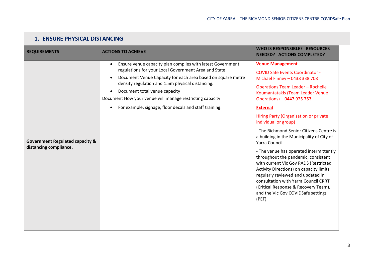| <b>1. ENSURE PHYSICAL DISTANCING</b>                                 |                                                                                                                                                                                                                                                                                                                                                                                                            |                                                                                                                                                                                                                                                                                                                                                                                                                                                                                                                                                                                                                                                                                                                                                                |
|----------------------------------------------------------------------|------------------------------------------------------------------------------------------------------------------------------------------------------------------------------------------------------------------------------------------------------------------------------------------------------------------------------------------------------------------------------------------------------------|----------------------------------------------------------------------------------------------------------------------------------------------------------------------------------------------------------------------------------------------------------------------------------------------------------------------------------------------------------------------------------------------------------------------------------------------------------------------------------------------------------------------------------------------------------------------------------------------------------------------------------------------------------------------------------------------------------------------------------------------------------------|
| <b>REQUIREMENTS</b>                                                  | <b>ACTIONS TO ACHIEVE</b>                                                                                                                                                                                                                                                                                                                                                                                  | WHO IS RESPONSIBLE? RESOURCES<br><b>NEEDED? ACTIONS COMPLETED?</b>                                                                                                                                                                                                                                                                                                                                                                                                                                                                                                                                                                                                                                                                                             |
| <b>Government Regulated capacity &amp;</b><br>distancing compliance. | Ensure venue capacity plan complies with latest Government<br>$\bullet$<br>regulations for your Local Government Area and State.<br>Document Venue Capacity for each area based on square metre<br>density regulation and 1.5m physical distancing.<br>Document total venue capacity<br>Document How your venue will manage restricting capacity<br>For example, signage, floor decals and staff training. | <b>Venue Management</b><br><b>COVID Safe Events Coordinator -</b><br>Michael Finney - 0438 338 708<br><b>Operations Team Leader - Rochelle</b><br>Koumantatakis (Team Leader Venue<br>Operations) - 0447 925 753<br><b>External</b><br>Hiring Party (Organisation or private<br>individual or group)<br>- The Richmond Senior Citizens Centre is<br>a building in the Municipality of City of<br>Yarra Council.<br>- The venue has operated intermittently<br>throughout the pandemic, consistent<br>with current Vic Gov RADS (Restricted<br>Activity Directions) on capacity limits,<br>regularly reviewed and updated in<br>consultation with Yarra Council CRRT<br>(Critical Response & Recovery Team),<br>and the Vic Gov COVIDSafe settings<br>$(PEF)$ . |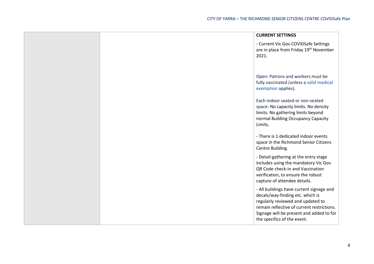|  | <b>CURRENT SETTINGS</b>                                                                                                                                                                                                                    |
|--|--------------------------------------------------------------------------------------------------------------------------------------------------------------------------------------------------------------------------------------------|
|  | - Current Vic Gov COVIDSafe Settings<br>are in place from Friday 19 <sup>th</sup> November<br>2021.                                                                                                                                        |
|  | Open: Patrons and workers must be<br>fully vaccinated (unless a valid medical<br>exemption applies).                                                                                                                                       |
|  | Each indoor seated or non-seated<br>space: No capacity limits. No density<br>limits. No gathering limits beyond<br>normal Building Occupancy Capacity<br>Limits.                                                                           |
|  | - There is 1 dedicated indoor events<br>space in the Richmond Senior Citizens<br>Centre Building.                                                                                                                                          |
|  | - Detail-gathering at the entry stage<br>includes using the mandatory Vic Gov<br>QR Code check-in and Vaccination<br>verification, to ensure the robust<br>capture of attendee details.                                                    |
|  | - All buildings have current signage and<br>decals/way-finding etc. which is<br>regularly reviewed and updated to<br>remain reflective of current restrictions.<br>Signage will be present and added to for<br>the specifics of the event. |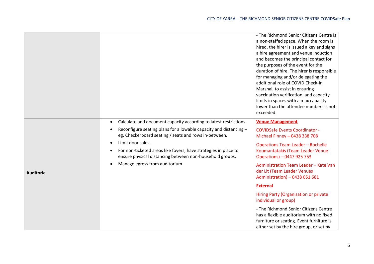|                  |                                                                                                                                          | - The Richmond Senior Citizens Centre is<br>a non-staffed space. When the room is<br>hired, the hirer is issued a key and signs<br>a hire agreement and venue induction<br>and becomes the principal contact for<br>the purposes of the event for the<br>duration of hire. The hirer is responsible<br>for managing and/or delegating the<br>additional role of COVID Check-In<br>Marshal, to assist in ensuring<br>vaccination verification, and capacity<br>limits in spaces with a max capacity<br>lower than the attendee numbers is not<br>exceeded. |
|------------------|------------------------------------------------------------------------------------------------------------------------------------------|-----------------------------------------------------------------------------------------------------------------------------------------------------------------------------------------------------------------------------------------------------------------------------------------------------------------------------------------------------------------------------------------------------------------------------------------------------------------------------------------------------------------------------------------------------------|
|                  | Calculate and document capacity according to latest restrictions.<br>$\bullet$                                                           | <b>Venue Management</b>                                                                                                                                                                                                                                                                                                                                                                                                                                                                                                                                   |
|                  | Reconfigure seating plans for allowable capacity and distancing -<br>$\bullet$<br>eg. Checkerboard seating / seats and rows in-between.  | <b>COVIDSafe Events Coordinator -</b><br>Michael Finney - 0438 338 708                                                                                                                                                                                                                                                                                                                                                                                                                                                                                    |
|                  | Limit door sales.<br>$\bullet$                                                                                                           | <b>Operations Team Leader - Rochelle</b>                                                                                                                                                                                                                                                                                                                                                                                                                                                                                                                  |
|                  | For non-ticketed areas like foyers, have strategies in place to<br>$\bullet$<br>ensure physical distancing between non-household groups. | Koumantatakis (Team Leader Venue<br>Operations) - 0447 925 753                                                                                                                                                                                                                                                                                                                                                                                                                                                                                            |
| <b>Auditoria</b> | Manage egress from auditorium                                                                                                            | Administration Team Leader - Kate Van<br>der Lit (Team Leader Venues<br>Administration) - 0438 051 681                                                                                                                                                                                                                                                                                                                                                                                                                                                    |
|                  |                                                                                                                                          | <b>External</b>                                                                                                                                                                                                                                                                                                                                                                                                                                                                                                                                           |
|                  |                                                                                                                                          | Hiring Party (Organisation or private<br>individual or group)                                                                                                                                                                                                                                                                                                                                                                                                                                                                                             |
|                  |                                                                                                                                          | - The Richmond Senior Citizens Centre<br>has a flexible auditorium with no fixed<br>furniture or seating. Event furniture is<br>either set by the hire group, or set by                                                                                                                                                                                                                                                                                                                                                                                   |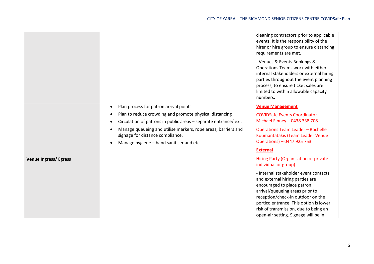|                              |                                                                                                   | cleaning contractors prior to applicable<br>events. It is the responsibility of the<br>hirer or hire group to ensure distancing<br>requirements are met.                                                                                                                                                   |
|------------------------------|---------------------------------------------------------------------------------------------------|------------------------------------------------------------------------------------------------------------------------------------------------------------------------------------------------------------------------------------------------------------------------------------------------------------|
|                              |                                                                                                   | - Venues & Events Bookings &<br>Operations Teams work with either<br>internal stakeholders or external hiring<br>parties throughout the event planning<br>process, to ensure ticket sales are<br>limited to within allowable capacity<br>numbers.                                                          |
|                              | Plan process for patron arrival points<br>$\bullet$                                               | <b>Venue Management</b>                                                                                                                                                                                                                                                                                    |
|                              | Plan to reduce crowding and promote physical distancing<br>$\bullet$                              | <b>COVIDSafe Events Coordinator -</b>                                                                                                                                                                                                                                                                      |
|                              | Circulation of patrons in public areas - separate entrance/ exit<br>٠                             | Michael Finney - 0438 338 708                                                                                                                                                                                                                                                                              |
|                              | Manage queueing and utilise markers, rope areas, barriers and<br>signage for distance compliance. | <b>Operations Team Leader - Rochelle</b><br>Koumantatakis (Team Leader Venue                                                                                                                                                                                                                               |
|                              | Manage hygiene - hand sanitiser and etc.<br>$\bullet$                                             | Operations) - 0447 925 753                                                                                                                                                                                                                                                                                 |
|                              |                                                                                                   | <b>External</b>                                                                                                                                                                                                                                                                                            |
| <b>Venue Ingress/ Egress</b> |                                                                                                   | Hiring Party (Organisation or private<br>individual or group)                                                                                                                                                                                                                                              |
|                              |                                                                                                   | - Internal stakeholder event contacts,<br>and external hiring parties are<br>encouraged to place patron<br>arrival/queueing areas prior to<br>reception/check-in outdoor on the<br>portico entrance. This option is lower<br>risk of transmission, due to being an<br>open-air setting. Signage will be in |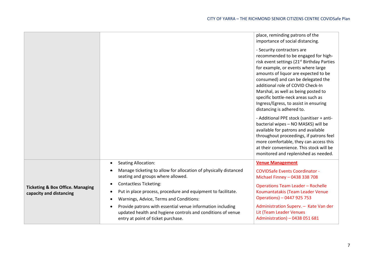|                                                                        |                                                                                                                                                                                 | place, reminding patrons of the<br>importance of social distancing.                                                                                                                                                                                                                                                                                                                                                                     |
|------------------------------------------------------------------------|---------------------------------------------------------------------------------------------------------------------------------------------------------------------------------|-----------------------------------------------------------------------------------------------------------------------------------------------------------------------------------------------------------------------------------------------------------------------------------------------------------------------------------------------------------------------------------------------------------------------------------------|
|                                                                        |                                                                                                                                                                                 | - Security contractors are<br>recommended to be engaged for high-<br>risk event settings (21 <sup>st</sup> Birthday Parties<br>for example, or events where large<br>amounts of liquor are expected to be<br>consumed) and can be delegated the<br>additional role of COVID Check-In<br>Marshal, as well as being posted to<br>specific bottle-neck areas such as<br>Ingress/Egress, to assist in ensuring<br>distancing is adhered to. |
|                                                                        |                                                                                                                                                                                 | - Additional PPE stock (sanitiser + anti-<br>bacterial wipes - NO MASKS) will be<br>available for patrons and available<br>throughout proceedings, if patrons feel<br>more comfortable, they can access this<br>at their convenience. This stock will be<br>monitored and replenished as needed.                                                                                                                                        |
|                                                                        | <b>Seating Allocation:</b><br>$\bullet$                                                                                                                                         | <b>Venue Management</b>                                                                                                                                                                                                                                                                                                                                                                                                                 |
| <b>Ticketing &amp; Box Office. Managing</b><br>capacity and distancing | Manage ticketing to allow for allocation of physically distanced<br>٠<br>seating and groups where allowed.                                                                      | <b>COVIDSafe Events Coordinator -</b><br>Michael Finney - 0438 338 708                                                                                                                                                                                                                                                                                                                                                                  |
|                                                                        | <b>Contactless Ticketing:</b><br>$\bullet$<br>Put in place process, procedure and equipment to facilitate.<br>$\bullet$<br>Warnings, Advice, Terms and Conditions:<br>$\bullet$ | <b>Operations Team Leader - Rochelle</b><br>Koumantatakis (Team Leader Venue<br>Operations) - 0447 925 753                                                                                                                                                                                                                                                                                                                              |
|                                                                        | Provide patrons with essential venue information including<br>$\bullet$<br>updated health and hygiene controls and conditions of venue<br>entry at point of ticket purchase.    | Administration Superv. - Kate Van der<br>Lit (Team Leader Venues<br>Administration) - 0438 051 681                                                                                                                                                                                                                                                                                                                                      |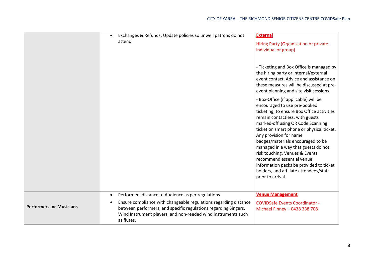|                                 | Exchanges & Refunds: Update policies so unwell patrons do not<br>$\bullet$<br>attend                                                                                                                                                                                                               | <b>External</b><br>Hiring Party (Organisation or private<br>individual or group)<br>- Ticketing and Box Office is managed by                                                                                                                                                                                                                                                                                                                                                                                           |
|---------------------------------|----------------------------------------------------------------------------------------------------------------------------------------------------------------------------------------------------------------------------------------------------------------------------------------------------|------------------------------------------------------------------------------------------------------------------------------------------------------------------------------------------------------------------------------------------------------------------------------------------------------------------------------------------------------------------------------------------------------------------------------------------------------------------------------------------------------------------------|
|                                 |                                                                                                                                                                                                                                                                                                    | the hiring party or internal/external<br>event contact. Advice and assistance on<br>these measures will be discussed at pre-<br>event planning and site visit sessions.                                                                                                                                                                                                                                                                                                                                                |
|                                 |                                                                                                                                                                                                                                                                                                    | - Box-Office (if applicable) will be<br>encouraged to use pre-booked<br>ticketing, to ensure Box Office activities<br>remain contactless, with guests<br>marked-off using QR Code Scanning<br>ticket on smart phone or physical ticket.<br>Any provision for name<br>badges/materials encouraged to be<br>managed in a way that guests do not<br>risk touching. Venues & Events<br>recommend essential venue<br>information packs be provided to ticket<br>holders, and affiliate attendees/staff<br>prior to arrival. |
| <b>Performers inc Musicians</b> | Performers distance to Audience as per regulations<br>$\bullet$<br>Ensure compliance with changeable regulations regarding distance<br>$\bullet$<br>between performers, and specific regulations regarding Singers,<br>Wind Instrument players, and non-reeded wind instruments such<br>as flutes. | <b>Venue Management</b><br><b>COVIDSafe Events Coordinator -</b><br>Michael Finney - 0438 338 708                                                                                                                                                                                                                                                                                                                                                                                                                      |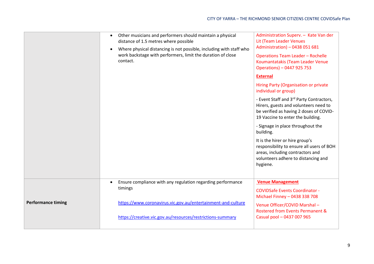|                           | Other musicians and performers should maintain a physical<br>$\bullet$<br>distance of 1.5 metres where possible<br>Where physical distancing is not possible, including with staff who<br>$\bullet$<br>work backstage with performers, limit the duration of close<br>contact. | Administration Superv. - Kate Van der<br>Lit (Team Leader Venues<br>Administration) - 0438 051 681<br><b>Operations Team Leader - Rochelle</b><br>Koumantatakis (Team Leader Venue<br>Operations) - 0447 925 753 |
|---------------------------|--------------------------------------------------------------------------------------------------------------------------------------------------------------------------------------------------------------------------------------------------------------------------------|------------------------------------------------------------------------------------------------------------------------------------------------------------------------------------------------------------------|
|                           |                                                                                                                                                                                                                                                                                | <b>External</b>                                                                                                                                                                                                  |
|                           |                                                                                                                                                                                                                                                                                | Hiring Party (Organisation or private<br>individual or group)                                                                                                                                                    |
|                           |                                                                                                                                                                                                                                                                                | - Event Staff and 3rd Party Contractors,<br>Hirers, guests and volunteers need to<br>be verified as having 2 doses of COVID-<br>19 Vaccine to enter the building.                                                |
|                           |                                                                                                                                                                                                                                                                                | - Signage in place throughout the<br>building.                                                                                                                                                                   |
|                           |                                                                                                                                                                                                                                                                                | It is the hirer or hire group's<br>responsibility to ensure all users of BOH<br>areas, including contractors and<br>volunteers adhere to distancing and<br>hygiene.                                              |
|                           | Ensure compliance with any regulation regarding performance<br>$\bullet$<br>timings                                                                                                                                                                                            | <b>Venue Management</b>                                                                                                                                                                                          |
|                           |                                                                                                                                                                                                                                                                                | <b>COVIDSafe Events Coordinator -</b><br>Michael Finney - 0438 338 708                                                                                                                                           |
| <b>Performance timing</b> | https://www.coronavirus.vic.gov.au/entertainment-and-culture<br>https://creative.vic.gov.au/resources/restrictions-summary                                                                                                                                                     | Venue Officer/COVID Marshal-<br>Rostered from Events Permanent &<br>Casual pool - 0437 007 965                                                                                                                   |
|                           |                                                                                                                                                                                                                                                                                |                                                                                                                                                                                                                  |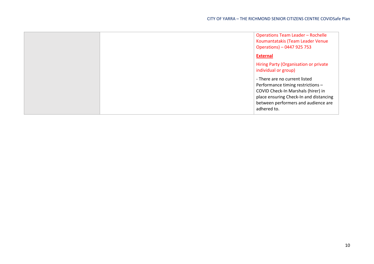|  | <b>Operations Team Leader - Rochelle</b><br>Koumantatakis (Team Leader Venue<br>Operations) - 0447 925 753                                                                                               |
|--|----------------------------------------------------------------------------------------------------------------------------------------------------------------------------------------------------------|
|  | <b>External</b>                                                                                                                                                                                          |
|  | Hiring Party (Organisation or private<br>individual or group)                                                                                                                                            |
|  | - There are no current listed<br>Performance timing restrictions -<br>COVID Check-In Marshals (hirer) in<br>place ensuring Check-In and distancing<br>between performers and audience are<br>adhered to. |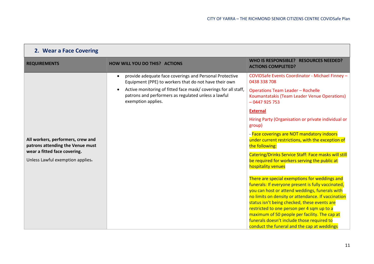| 2. Wear a Face Covering                                                                                                                   |                                                                                                                                                                                                                                                                                           |                                                                                                                                                                                                                                                                                                                                                                                                                                                                                                                                                                                                                                                                                                                                                                                                                                                                                                                                                                                 |  |
|-------------------------------------------------------------------------------------------------------------------------------------------|-------------------------------------------------------------------------------------------------------------------------------------------------------------------------------------------------------------------------------------------------------------------------------------------|---------------------------------------------------------------------------------------------------------------------------------------------------------------------------------------------------------------------------------------------------------------------------------------------------------------------------------------------------------------------------------------------------------------------------------------------------------------------------------------------------------------------------------------------------------------------------------------------------------------------------------------------------------------------------------------------------------------------------------------------------------------------------------------------------------------------------------------------------------------------------------------------------------------------------------------------------------------------------------|--|
| <b>REQUIREMENTS</b>                                                                                                                       | <b>HOW WILL YOU DO THIS? ACTIONS</b>                                                                                                                                                                                                                                                      | WHO IS RESPONSIBLE? RESOURCES NEEDED?<br><b>ACTIONS COMPLETED?</b>                                                                                                                                                                                                                                                                                                                                                                                                                                                                                                                                                                                                                                                                                                                                                                                                                                                                                                              |  |
| All workers, performers, crew and<br>patrons attending the Venue must<br>wear a fitted face covering.<br>Unless Lawful exemption applies- | provide adequate face coverings and Personal Protective<br>$\bullet$<br>Equipment (PPE) to workers that do not have their own<br>Active monitoring of fitted face mask/coverings for all staff,<br>$\bullet$<br>patrons and performers as regulated unless a lawful<br>exemption applies. | COVIDSafe Events Coordinator - Michael Finney -<br>0438 338 708<br><b>Operations Team Leader - Rochelle</b><br>Koumantatakis (Team Leader Venue Operations)<br>$-0447925753$<br><b>External</b><br>Hiring Party (Organisation or private individual or<br>group)<br>- Face coverings are NOT mandatory indoors<br>under current restrictions, with the exception of<br>the following:<br>Catering/Drinks Service Staff: Face masks will still<br>be required for workers serving the public at<br>hospitality venues<br>There are special exemptions for weddings and<br>funerals: If everyone present is fully vaccinated,<br>you can host or attend weddings, funerals with<br>no limits on density or attendance. If vaccination<br>status isn't being checked, these events are<br>restricted to one person per 4 sqm up to a<br>maximum of 50 people per facility. The cap at<br>funerals doesn't include those required to<br>conduct the funeral and the cap at weddings |  |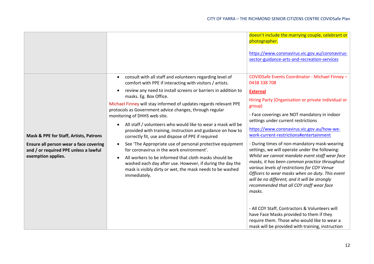|                                                                                                                                                 |                                                                                                                                                                                                                                                                                                                                                                                                                                                                                                                                                                                                                                                                                                                                                                                                | doesn't include the marrying couple, celebrant or<br>photographer.<br>https://www.coronavirus.vic.gov.au/coronavirus-<br>sector-guidance-arts-and-recreation-services                                                                                                                                                                                                                                                                                                                                                                                                                                                                                                                                                                                                                                                                                                             |
|-------------------------------------------------------------------------------------------------------------------------------------------------|------------------------------------------------------------------------------------------------------------------------------------------------------------------------------------------------------------------------------------------------------------------------------------------------------------------------------------------------------------------------------------------------------------------------------------------------------------------------------------------------------------------------------------------------------------------------------------------------------------------------------------------------------------------------------------------------------------------------------------------------------------------------------------------------|-----------------------------------------------------------------------------------------------------------------------------------------------------------------------------------------------------------------------------------------------------------------------------------------------------------------------------------------------------------------------------------------------------------------------------------------------------------------------------------------------------------------------------------------------------------------------------------------------------------------------------------------------------------------------------------------------------------------------------------------------------------------------------------------------------------------------------------------------------------------------------------|
|                                                                                                                                                 | consult with all staff and volunteers regarding level of<br>$\bullet$<br>comfort with PPE if interacting with visitors / artists.                                                                                                                                                                                                                                                                                                                                                                                                                                                                                                                                                                                                                                                              | COVIDSafe Events Coordinator - Michael Finney -<br>0438 338 708                                                                                                                                                                                                                                                                                                                                                                                                                                                                                                                                                                                                                                                                                                                                                                                                                   |
| Mask & PPE for Staff, Artists, Patrons<br>Ensure all person wear a face covering<br>and / or required PPE unless a lawful<br>exemption applies. | review any need to install screens or barriers in addition to<br>$\bullet$<br>masks. Eg. Box Office.<br>Michael Finney will stay informed of updates regards relevant PPE<br>protocols as Government advice changes, through regular<br>monitoring of DHHS web site.<br>All staff / volunteers who would like to wear a mask will be<br>provided with training, instruction and guidance on how to<br>correctly fit, use and dispose of PPE if required<br>See 'The Appropriate use of personal protective equipment<br>$\bullet$<br>for coronavirus in the work environment'.<br>All workers to be informed that cloth masks should be<br>$\bullet$<br>washed each day after use. However, if during the day the<br>mask is visibly dirty or wet, the mask needs to be washed<br>immediately. | <b>External</b><br>Hiring Party (Organisation or private individual or<br>group)<br>- Face coverings are NOT mandatory in indoor<br>settings under current restrictions<br>https://www.coronavirus.vic.gov.au/how-we-<br>work-current-restrictions#entertainment<br>- During times of non-mandatory mask-wearing<br>settings, we will operate under the following:<br>Whilst we cannot mandate event staff wear face<br>masks, it has been common practice throughout<br>various levels of restrictions for COY Venue<br>Officers to wear masks when on duty. This event<br>will be no different, and it will be strongly<br>recommended that all COY staff wear face<br>masks.<br>- All COY Staff, Contractors & Volunteers will<br>have Face Masks provided to them if they<br>require them. Those who would like to wear a<br>mask will be provided with training, instruction |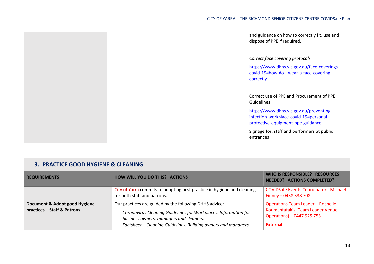|  | and guidance on how to correctly fit, use and<br>dispose of PPE if required.                                           |
|--|------------------------------------------------------------------------------------------------------------------------|
|  | Correct face covering protocols:                                                                                       |
|  | https://www.dhhs.vic.gov.au/face-coverings-<br>covid-19#how-do-i-wear-a-face-covering-<br>correctly                    |
|  | Correct use of PPE and Procurement of PPE<br>Guidelines:                                                               |
|  | https://www.dhhs.vic.gov.au/preventing-<br>infection-workplace-covid-19#personal-<br>protective-equipment-ppe-guidance |
|  | Signage for, staff and performers at public<br>entrances                                                               |

| 3. PRACTICE GOOD HYGIENE & CLEANING                          |                                                                                                                                                                                                                                       |                                                                                                                               |
|--------------------------------------------------------------|---------------------------------------------------------------------------------------------------------------------------------------------------------------------------------------------------------------------------------------|-------------------------------------------------------------------------------------------------------------------------------|
| <b>REQUIREMENTS</b>                                          | <b>HOW WILL YOU DO THIS? ACTIONS</b>                                                                                                                                                                                                  | WHO IS RESPONSIBLE? RESOURCES<br><b>NEEDED? ACTIONS COMPLETED?</b>                                                            |
|                                                              | City of Yarra commits to adopting best practice in hygiene and cleaning<br>for both staff and patrons.                                                                                                                                | <b>COVIDSafe Events Coordinator - Michael</b><br>Finney $-$ 0438 338 708                                                      |
| Document & Adopt good Hygiene<br>practices - Staff & Patrons | Our practices are guided by the following DHHS advice:<br>Coronavirus Cleaning Guidelines for Workplaces. Information for<br>business owners, managers and cleaners.<br>Factsheet - Cleaning Guidelines. Building owners and managers | <b>Operations Team Leader - Rochelle</b><br>Koumantatakis (Team Leader Venue<br>Operations) - 0447 925 753<br><b>External</b> |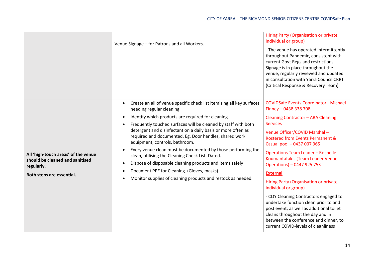|                                                                                                                   | Venue Signage - for Patrons and all Workers.                                                                                                                                                                                                                                                                                                                                                                                                                                                                                                                                                                                                                                                                | Hiring Party (Organisation or private<br>individual or group)<br>- The venue has operated intermittently<br>throughout Pandemic, consistent with<br>current Govt Regs and restrictions.<br>Signage is in place throughout the<br>venue, regularly reviewed and updated<br>in consultation with Yarra Council CRRT<br>(Critical Response & Recovery Team).                                                                                                                                                                                                                                                                                                                             |
|-------------------------------------------------------------------------------------------------------------------|-------------------------------------------------------------------------------------------------------------------------------------------------------------------------------------------------------------------------------------------------------------------------------------------------------------------------------------------------------------------------------------------------------------------------------------------------------------------------------------------------------------------------------------------------------------------------------------------------------------------------------------------------------------------------------------------------------------|---------------------------------------------------------------------------------------------------------------------------------------------------------------------------------------------------------------------------------------------------------------------------------------------------------------------------------------------------------------------------------------------------------------------------------------------------------------------------------------------------------------------------------------------------------------------------------------------------------------------------------------------------------------------------------------|
| All 'high-touch areas' of the venue<br>should be cleaned and sanitised<br>regularly.<br>Both steps are essential. | Create an all of venue specific check list itemising all key surfaces<br>needing regular cleaning.<br>Identify which products are required for cleaning.<br>Frequently touched surfaces will be cleaned by staff with both<br>$\bullet$<br>detergent and disinfectant on a daily basis or more often as<br>required and documented. Eg. Door handles, shared work<br>equipment, controls, bathroom.<br>Every venue clean must be documented by those performing the<br>clean, utilising the Cleaning Check List. Dated.<br>Dispose of disposable cleaning products and items safely<br>٠<br>Document PPE for Cleaning. (Gloves, masks)<br>٠<br>Monitor supplies of cleaning products and restock as needed. | <b>COVIDSafe Events Coordinator - Michael</b><br>Finney - 0438 338 708<br>Cleaning Contractor - ARA Cleaning<br><b>Services</b><br>Venue Officer/COVID Marshal-<br>Rostered from Events Permanent &<br>Casual pool - 0437 007 965<br><b>Operations Team Leader - Rochelle</b><br>Koumantatakis (Team Leader Venue<br>Operations) - 0447 925 753<br><b>External</b><br>Hiring Party (Organisation or private<br>individual or group)<br>- COY Cleaning Contractors engaged to<br>undertake function clean prior to and<br>post event, as well as additional toilet<br>cleans throughout the day and in<br>between the conference and dinner, to<br>current COVID-levels of cleanliness |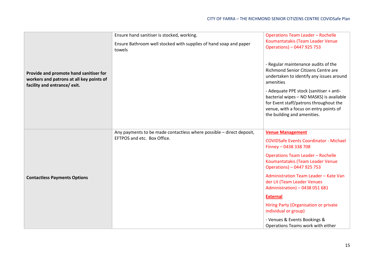|                                                                                                                    | Ensure hand sanitiser is stocked, working.                                  | <b>Operations Team Leader - Rochelle</b>                                                                                                                                                               |
|--------------------------------------------------------------------------------------------------------------------|-----------------------------------------------------------------------------|--------------------------------------------------------------------------------------------------------------------------------------------------------------------------------------------------------|
| Provide and promote hand sanitiser for<br>workers and patrons at all key points of<br>facility and entrance/ exit. | Ensure Bathroom well stocked with supplies of hand soap and paper<br>towels | Koumantatakis (Team Leader Venue<br>Operations) - 0447 925 753                                                                                                                                         |
|                                                                                                                    |                                                                             | - Regular maintenance audits of the<br>Richmond Senior Citizens Centre are<br>undertaken to identify any issues around<br>amenities                                                                    |
|                                                                                                                    |                                                                             | - Adequate PPE stock (sanitiser + anti-<br>bacterial wipes - NO MASKS) is available<br>for Event staff/patrons throughout the<br>venue, with a focus on entry points of<br>the building and amenities. |
|                                                                                                                    | Any payments to be made contactless where possible - direct deposit,        | <b>Venue Management</b>                                                                                                                                                                                |
| <b>Contactless Payments Options</b>                                                                                | EFTPOS and etc. Box Office.                                                 | <b>COVIDSafe Events Coordinator - Michael</b><br>Finney - 0438 338 708                                                                                                                                 |
|                                                                                                                    |                                                                             | <b>Operations Team Leader - Rochelle</b><br>Koumantatakis (Team Leader Venue<br>Operations) - 0447 925 753                                                                                             |
|                                                                                                                    |                                                                             | Administration Team Leader - Kate Van<br>der Lit (Team Leader Venues<br>Administration) - 0438 051 681                                                                                                 |
|                                                                                                                    |                                                                             | <b>External</b>                                                                                                                                                                                        |
|                                                                                                                    |                                                                             | Hiring Party (Organisation or private<br>individual or group)                                                                                                                                          |
|                                                                                                                    |                                                                             | - Venues & Events Bookings &                                                                                                                                                                           |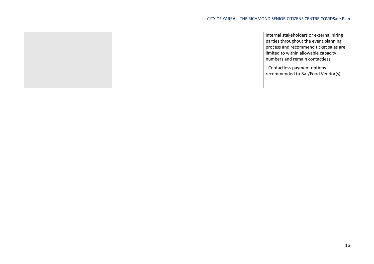| internal stakeholders or external hiring |
|------------------------------------------|
| parties throughout the event planning    |
| process and recommend ticket sales are   |
| limited to within allowable capacity     |
| numbers and remain contactless.          |
| - Contactless payment options            |
| recommended to Bar/Food Vendor(s)        |
|                                          |
|                                          |
|                                          |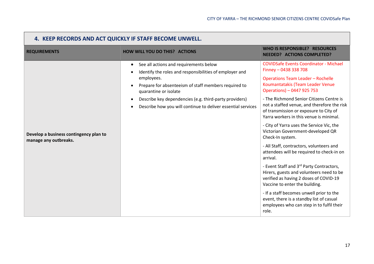| 4. KEEP RECORDS AND ACT QUICKLY IF STAFF BECOME UNWELL.         |                                                                                                                                                                                                                                                                                                                                         |                                                                                                                                                                                                                                                                                                                                                                                                                                                                                                                                                                                                                                                                                                                                                                                                                                                                                                   |  |
|-----------------------------------------------------------------|-----------------------------------------------------------------------------------------------------------------------------------------------------------------------------------------------------------------------------------------------------------------------------------------------------------------------------------------|---------------------------------------------------------------------------------------------------------------------------------------------------------------------------------------------------------------------------------------------------------------------------------------------------------------------------------------------------------------------------------------------------------------------------------------------------------------------------------------------------------------------------------------------------------------------------------------------------------------------------------------------------------------------------------------------------------------------------------------------------------------------------------------------------------------------------------------------------------------------------------------------------|--|
| <b>REQUIREMENTS</b>                                             | <b>HOW WILL YOU DO THIS? ACTIONS</b>                                                                                                                                                                                                                                                                                                    | <b>WHO IS RESPONSIBLE? RESOURCES</b><br><b>NEEDED? ACTIONS COMPLETED?</b>                                                                                                                                                                                                                                                                                                                                                                                                                                                                                                                                                                                                                                                                                                                                                                                                                         |  |
| Develop a business contingency plan to<br>manage any outbreaks. | See all actions and requirements below<br>$\bullet$<br>Identify the roles and responsibilities of employer and<br>employees.<br>Prepare for absenteeism of staff members required to<br>quarantine or isolate<br>Describe key dependencies (e.g. third-party providers)<br>Describe how you will continue to deliver essential services | <b>COVIDSafe Events Coordinator - Michael</b><br>Finney - 0438 338 708<br><b>Operations Team Leader - Rochelle</b><br>Koumantatakis (Team Leader Venue<br>Operations) - 0447 925 753<br>- The Richmond Senior Citizens Centre is<br>not a staffed venue, and therefore the risk<br>of transmission or exposure to City of<br>Yarra workers in this venue is minimal.<br>- City of Yarra uses the Service Vic, the<br>Victorian Government-developed QR<br>Check-In system.<br>- All Staff, contractors, volunteers and<br>attendees will be required to check-in on<br>arrival.<br>- Event Staff and 3rd Party Contractors,<br>Hirers, guests and volunteers need to be<br>verified as having 2 doses of COVID-19<br>Vaccine to enter the building.<br>- If a staff becomes unwell prior to the<br>event, there is a standby list of casual<br>employees who can step in to fulfil their<br>role. |  |

**The Company**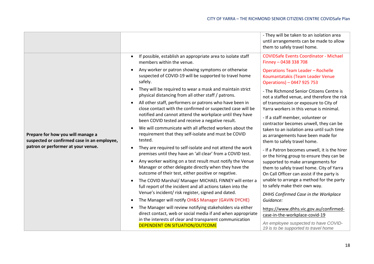|                                                                                                                        |                                                                                                                                                                           | - They will be taken to an isolation area<br>until arrangements can be made to allow<br>them to safely travel home.           |
|------------------------------------------------------------------------------------------------------------------------|---------------------------------------------------------------------------------------------------------------------------------------------------------------------------|-------------------------------------------------------------------------------------------------------------------------------|
|                                                                                                                        | If possible, establish an appropriate area to isolate staff<br>members within the venue.                                                                                  | <b>COVIDSafe Events Coordinator - Michael</b><br>Finney - 0438 338 708                                                        |
|                                                                                                                        | Any worker or patron showing symptoms or otherwise<br>suspected of COVID-19 will be supported to travel home<br>safely.                                                   | <b>Operations Team Leader - Rochelle</b><br>Koumantatakis (Team Leader Venue<br>Operations) - 0447 925 753                    |
|                                                                                                                        | They will be required to wear a mask and maintain strict<br>physical distancing from all other staff / patrons.                                                           | - The Richmond Senior Citizens Centre is<br>not a staffed venue, and therefore the risk                                       |
|                                                                                                                        | All other staff, performers or patrons who have been in<br>close contact with the confirmed or suspected case will be                                                     | of transmission or exposure to City of<br>Yarra workers in this venue is minimal.                                             |
| Prepare for how you will manage a<br>suspected or confirmed case in an employee,<br>patron or performer at your venue. | notified and cannot attend the workplace until they have<br>been COVID tested and receive a negative result.                                                              | - If a staff member, volunteer or<br>contractor becomes unwell, they can be                                                   |
|                                                                                                                        | We will communicate with all affected workers about the<br>requirement that they self-isolate and must be COVID<br>tested.                                                | taken to an isolation area until such time<br>as arrangements have been made for<br>them to safely travel home.               |
|                                                                                                                        | They are required to self-isolate and not attend the work<br>premises until they have an 'all clear' from a COVID test.                                                   | - If a Patron becomes unwell, it is the hirer<br>or the hiring group to ensure they can be                                    |
|                                                                                                                        | Any worker waiting on a test result must notify the Venue<br>Manager or other delegate directly when they have the<br>outcome of their test, either positive or negative. | supported to make arrangements for<br>them to safely travel home. City of Yarra<br>On Call Officer can assist if the party is |
|                                                                                                                        | The COVID Marshal/ Manager MICHAEL FINNEY will enter a<br>full report of the incident and all actions taken into the                                                      | unable to arrange a method for the party<br>to safely make their own way.                                                     |
|                                                                                                                        | Venue's incident/ risk register, signed and dated.<br>The Manager will notify OH&S Manager (GAVIN DYCHE)                                                                  | DHHS Confirmed Case in the Workplace<br>Guidance:                                                                             |
|                                                                                                                        | The Manager will review notifying stakeholders via either<br>direct contact, web or social media if and when appropriate                                                  | https://www.dhhs.vic.gov.au/confirmed-<br>case-in-the-workplace-covid-19                                                      |
|                                                                                                                        | in the interests of clear and transparent communication<br><b>DEPENDENT ON SITUATION/OUTCOME</b>                                                                          | An employee suspected to have COVID-<br>19 is to be supported to travel home                                                  |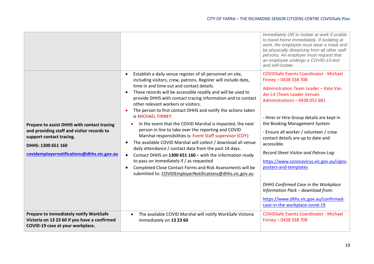|                                                                                                                                                                                           |                                                                                                                                                                                                                                                                                                                                                                                                                                                                                                                                                                                                                                                                                                                                                                                                                                                                                                                                                                                                                                                                | immediately OR to isolate at work if unable<br>to travel home immediately. If isolating at<br>work, the employee must wear a mask and<br>be physically distancing from all other staff<br>persons. An employer must request that<br>an employee undergo a COVID-19 test<br>and self-isolate.                                                                                                                                                                                                                                                                                                                                         |
|-------------------------------------------------------------------------------------------------------------------------------------------------------------------------------------------|----------------------------------------------------------------------------------------------------------------------------------------------------------------------------------------------------------------------------------------------------------------------------------------------------------------------------------------------------------------------------------------------------------------------------------------------------------------------------------------------------------------------------------------------------------------------------------------------------------------------------------------------------------------------------------------------------------------------------------------------------------------------------------------------------------------------------------------------------------------------------------------------------------------------------------------------------------------------------------------------------------------------------------------------------------------|--------------------------------------------------------------------------------------------------------------------------------------------------------------------------------------------------------------------------------------------------------------------------------------------------------------------------------------------------------------------------------------------------------------------------------------------------------------------------------------------------------------------------------------------------------------------------------------------------------------------------------------|
| Prepare to assist DHHS with contact tracing<br>and providing staff and visitor records to<br>support contact tracing.<br>DHHS: 1300 651 160<br>covidemployernotifications@dhhs.vic.gov.au | Establish a daily venue register of all personnel on site,<br>$\bullet$<br>including visitors, crew, patrons. Register will include date,<br>time in and time out and contact details.<br>These records will be accessible readily and will be used to<br>$\bullet$<br>provide DHHS with contact tracing information and to contact<br>other relevant workers or visitors.<br>The person to first contact DHHS and notify the actions taken<br><b>is MICHAEL FINNEY</b><br>In the event that the COVID Marshal is impacted, the next<br>person in line to take over the reporting and COVID<br>Marshal responsibilities is: Event Staff supervisor (COY):<br>The available COVID Marshal will collect / download all venue<br>$\bullet$<br>daily attendance / contact data from the past 14 days.<br>Contact DHHS on 1300 651 160 - with the information ready<br>$\bullet$<br>to pass on immediately if / as requested<br>Completed Close Contact Forms and Risk Assessments will be<br>$\bullet$<br>submitted to: COVIDEmployerNotifications@dhhs.vic.gov.au | <b>COVIDSafe Events Coordinator - Michael</b><br>Finney - 0438 338 708<br>Administration Team Leader - Kate Van<br>der Lit (Team Leader Venues<br>Administration) - 0438 051 681<br>- Hirer or Hire Group details are kept in<br>the Booking Management System<br>- Ensure all worker / volunteer / crew<br>contact details are up to date and<br>accessible.<br>Record Sheet Visitor and Patron Log:<br>https://www.coronavirus.vic.gov.au/signs-<br>posters-and-templates<br>DHHS Confirmed Case in the Workplace<br>Information Pack - download from:<br>https://www.dhhs.vic.gov.au/confirmed-<br>case-in-the-workplace-covid-19 |
| Prepare to immediately notify WorkSafe<br>Victoria on 13 23 60 if you have a confirmed<br>COVID-19 case at your workplace.                                                                | The available COVID Marshal will notify WorkSafe Victoria<br>$\bullet$<br>immediately on 13 23 60                                                                                                                                                                                                                                                                                                                                                                                                                                                                                                                                                                                                                                                                                                                                                                                                                                                                                                                                                              | <b>COVIDSafe Events Coordinator - Michael</b><br>Finney - 0438 338 708                                                                                                                                                                                                                                                                                                                                                                                                                                                                                                                                                               |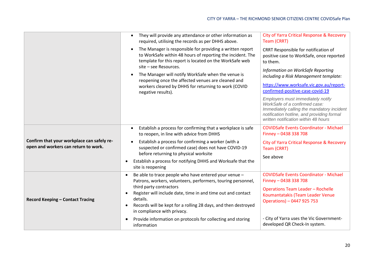|                                                                                    | They will provide any attendance or other information as<br>$\bullet$<br>required, utilising the records as per DHHS above.<br>The Manager is responsible for providing a written report<br>$\bullet$<br>to WorkSafe within 48 hours of reporting the incident. The<br>template for this report is located on the WorkSafe web<br>site - see Resources.<br>The Manager will notify WorkSafe when the venue is<br>reopening once the affected venues are cleaned and<br>workers cleared by DHHS for returning to work (COVID<br>negative results). | City of Yarra Critical Response & Recovery<br>Team (CRRT)<br>CRRT Responsible for notification of<br>positive case to WorkSafe, once reported<br>to them.<br>Information on WorkSafe Reporting<br>including a Risk Management template:<br>https://www.worksafe.vic.gov.au/report-<br>confirmed-positive-case-covid-19<br>Employers must immediately notify<br>WorkSafe of a confirmed case:<br>Immediately calling the mandatory incident<br>notification hotline, and providing formal<br>written notification within 48 hours |
|------------------------------------------------------------------------------------|---------------------------------------------------------------------------------------------------------------------------------------------------------------------------------------------------------------------------------------------------------------------------------------------------------------------------------------------------------------------------------------------------------------------------------------------------------------------------------------------------------------------------------------------------|----------------------------------------------------------------------------------------------------------------------------------------------------------------------------------------------------------------------------------------------------------------------------------------------------------------------------------------------------------------------------------------------------------------------------------------------------------------------------------------------------------------------------------|
| Confirm that your workplace can safely re-<br>open and workers can return to work. | Establish a process for confirming that a workplace is safe<br>to reopen, in line with advice from DHHS<br>Establish a process for confirming a worker (with a<br>suspected or confirmed case) does not have COVID-19<br>before returning to physical worksite<br>Establish a process for notifying DHHS and Worksafe that the<br>site is reopening                                                                                                                                                                                               | <b>COVIDSafe Events Coordinator - Michael</b><br>Finney - 0438 338 708<br><b>City of Yarra Critical Response &amp; Recovery</b><br>Team (CRRT)<br>See above                                                                                                                                                                                                                                                                                                                                                                      |
| <b>Record Keeping - Contact Tracing</b>                                            | Be able to trace people who have entered your venue -<br>$\bullet$<br>Patrons, workers, volunteers, performers, touring personnel,<br>third party contractors<br>Register will include date, time in and time out and contact<br>details.<br>Records will be kept for a rolling 28 days, and then destroyed<br>$\bullet$<br>in compliance with privacy.<br>Provide information on protocols for collecting and storing<br>information                                                                                                             | <b>COVIDSafe Events Coordinator - Michael</b><br>Finney - 0438 338 708<br><b>Operations Team Leader - Rochelle</b><br>Koumantatakis (Team Leader Venue<br>Operations) - 0447 925 753<br>- City of Yarra uses the Vic Government-<br>developed QR Check-In system.                                                                                                                                                                                                                                                                |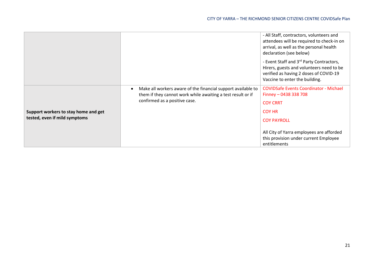|                                                                       |                                                                                                                                                              | - All Staff, contractors, volunteers and<br>attendees will be required to check-in on<br>arrival, as well as the personal health<br>declaration (see below)                  |
|-----------------------------------------------------------------------|--------------------------------------------------------------------------------------------------------------------------------------------------------------|------------------------------------------------------------------------------------------------------------------------------------------------------------------------------|
|                                                                       |                                                                                                                                                              | - Event Staff and 3rd Party Contractors,<br>Hirers, guests and volunteers need to be<br>verified as having 2 doses of COVID-19<br>Vaccine to enter the building.             |
| Support workers to stay home and get<br>tested, even if mild symptoms | Make all workers aware of the financial support available to<br>them if they cannot work while awaiting a test result or if<br>confirmed as a positive case. | <b>COVIDSafe Events Coordinator - Michael</b><br>Finney - 0438 338 708<br><b>COY CRRT</b><br><b>COY HR</b><br><b>COY PAYROLL</b><br>All City of Yarra employees are afforded |
|                                                                       |                                                                                                                                                              | this provision under current Employee<br>entitlements                                                                                                                        |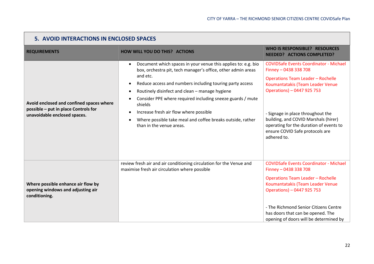| 5. AVOID INTERACTIONS IN ENCLOSED SPACES                                                                         |                                                                                                                                                                                                                                                                                                                                                                                                                                                                                   |                                                                                                                                                                                                                                                                                                                                                                |
|------------------------------------------------------------------------------------------------------------------|-----------------------------------------------------------------------------------------------------------------------------------------------------------------------------------------------------------------------------------------------------------------------------------------------------------------------------------------------------------------------------------------------------------------------------------------------------------------------------------|----------------------------------------------------------------------------------------------------------------------------------------------------------------------------------------------------------------------------------------------------------------------------------------------------------------------------------------------------------------|
| <b>REQUIREMENTS</b>                                                                                              | <b>HOW WILL YOU DO THIS? ACTIONS</b>                                                                                                                                                                                                                                                                                                                                                                                                                                              | <b>WHO IS RESPONSIBLE? RESOURCES</b><br><b>NEEDED? ACTIONS COMPLETED?</b>                                                                                                                                                                                                                                                                                      |
| Avoid enclosed and confined spaces where<br>possible - put in place Controls for<br>unavoidable enclosed spaces. | Document which spaces in your venue this applies to: e.g. bio<br>$\bullet$<br>box, orchestra pit, tech manager's office, other admin areas<br>and etc.<br>Reduce access and numbers including touring party access<br>Routinely disinfect and clean - manage hygiene<br>Consider PPE where required including sneeze guards / mute<br>shields<br>Increase fresh air flow where possible<br>Where possible take meal and coffee breaks outside, rather<br>than in the venue areas. | <b>COVIDSafe Events Coordinator - Michael</b><br>Finney - 0438 338 708<br><b>Operations Team Leader - Rochelle</b><br>Koumantatakis (Team Leader Venue<br>Operations) - 0447 925 753<br>- Signage in place throughout the<br>building, and COVID Marshals (hirer)<br>operating for the duration of events to<br>ensure COVID Safe protocols are<br>adhered to. |
| Where possible enhance air flow by<br>opening windows and adjusting air<br>conditioning.                         | review fresh air and air conditioning circulation for the Venue and<br>maximise fresh air circulation where possible                                                                                                                                                                                                                                                                                                                                                              | <b>COVIDSafe Events Coordinator - Michael</b><br>Finney - 0438 338 708<br><b>Operations Team Leader - Rochelle</b><br>Koumantatakis (Team Leader Venue<br>Operations) - 0447 925 753<br>- The Richmond Senior Citizens Centre<br>has doors that can be opened. The<br>opening of doors will be determined by                                                   |

 $\sqrt{2}$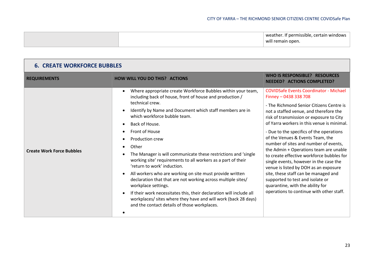|  | weather. If permissible, certain windows |
|--|------------------------------------------|
|  | will remain open.                        |
|  |                                          |

| <b>6. CREATE WORKFORCE BUBBLES</b> |                                                                                                                                                                                                                                                                                                                                                                                                                                                                                                                                                                                                                                                                                                                                                                                                                                                |                                                                                                                                                                                                                                                                                                                                                                                                                                                                                                                                                                                                                                                                                                                       |
|------------------------------------|------------------------------------------------------------------------------------------------------------------------------------------------------------------------------------------------------------------------------------------------------------------------------------------------------------------------------------------------------------------------------------------------------------------------------------------------------------------------------------------------------------------------------------------------------------------------------------------------------------------------------------------------------------------------------------------------------------------------------------------------------------------------------------------------------------------------------------------------|-----------------------------------------------------------------------------------------------------------------------------------------------------------------------------------------------------------------------------------------------------------------------------------------------------------------------------------------------------------------------------------------------------------------------------------------------------------------------------------------------------------------------------------------------------------------------------------------------------------------------------------------------------------------------------------------------------------------------|
| <b>REQUIREMENTS</b>                | <b>HOW WILL YOU DO THIS? ACTIONS</b>                                                                                                                                                                                                                                                                                                                                                                                                                                                                                                                                                                                                                                                                                                                                                                                                           | WHO IS RESPONSIBLE? RESOURCES<br><b>NEEDED? ACTIONS COMPLETED?</b>                                                                                                                                                                                                                                                                                                                                                                                                                                                                                                                                                                                                                                                    |
| <b>Create Work Force Bubbles</b>   | Where appropriate create Workforce Bubbles within your team,<br>including back of house, front of house and production /<br>technical crew.<br>Identify by Name and Document which staff members are in<br>which workforce bubble team.<br>Back of House.<br>$\bullet$<br>Front of House<br>Production crew<br>Other<br>$\bullet$<br>The Manager is will communicate these restrictions and 'single<br>working site' requirements to all workers as a part of their<br>'return to work' induction.<br>All workers who are working on site must provide written<br>declaration that that are not working across multiple sites/<br>workplace settings.<br>If their work necessitates this, their declaration will include all<br>workplaces/ sites where they have and will work (back 28 days)<br>and the contact details of those workplaces. | <b>COVIDSafe Events Coordinator - Michael</b><br>Finney - 0438 338 708<br>- The Richmond Senior Citizens Centre is<br>not a staffed venue, and therefore the<br>risk of transmission or exposure to City<br>of Yarra workers in this venue is minimal.<br>- Due to the specifics of the operations<br>of the Venues & Events Team, the<br>number of sites and number of events,<br>the Admin + Operations team are unable<br>to create effective workforce bubbles for<br>single events, however in the case the<br>venue is listed by DOH as an exposure<br>site, these staff can be managed and<br>supported to test and isolate or<br>quarantine, with the ability for<br>operations to continue with other staff. |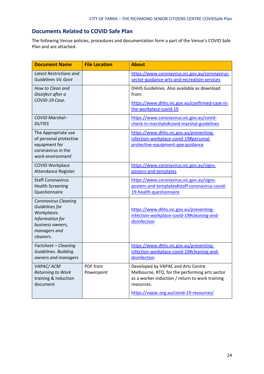### **Documents Related to COVID Safe Plan**

The following Venue policies, procedures and documentation form a part of the Venue's COVID Safe Plan and are attached.

| <b>Document Name</b>                                                                                                             | <b>File Location</b>   | <b>About</b>                                                                                                                                                                                      |
|----------------------------------------------------------------------------------------------------------------------------------|------------------------|---------------------------------------------------------------------------------------------------------------------------------------------------------------------------------------------------|
| <b>Latest Restrictions and</b><br><b>Guidelines Vic Govt</b>                                                                     |                        | https://www.coronavirus.vic.gov.au/coronavirus-<br>sector-guidance-arts-and-recreation-services                                                                                                   |
| How to Clean and<br>Disinfect after a                                                                                            |                        | DHHS Guidelines. Also available as download<br>from:                                                                                                                                              |
| COVID-19 Case.                                                                                                                   |                        | https://www.dhhs.vic.gov.au/confirmed-case-in-<br>the-workplace-covid-19                                                                                                                          |
| COVID Marshal-<br><b>DUTIES</b>                                                                                                  |                        | https://www.coronavirus.vic.gov.au/covid-<br>check-in-marshals#covid-marshal-guidelines                                                                                                           |
| The Appropriate use<br>of personal protective<br>equipment for<br>coronavirus in the<br>work environment'                        |                        | https://www.dhhs.vic.gov.au/preventing-<br>infection-workplace-covid-19#personal-<br>protective-equipment-ppe-guidance                                                                            |
| <b>COVID Workplace</b><br>Attendance Register                                                                                    |                        | https://www.coronavirus.vic.gov.au/signs-<br>posters-and-templates                                                                                                                                |
| <b>Staff Coronavirus</b><br><b>Health Screening</b><br>Questionnaire                                                             |                        | https://www.coronavirus.vic.gov.au/signs-<br>posters-and-templates#staff-coronavirus-covid-<br>19-health-questionnaire                                                                            |
| <b>Coronavirus Cleaning</b><br>Guidelines for<br>Workplaces.<br>Information for<br>business owners,<br>managers and<br>cleaners. |                        | https://www.dhhs.vic.gov.au/preventing-<br>infection-workplace-covid-19#cleaning-and-<br>disinfection                                                                                             |
| Factsheet - Cleaning<br>Guidelines. Building<br>owners and managers                                                              |                        | https://www.dhhs.vic.gov.au/preventing-<br>infection-workplace-covid-19#cleaning-and-<br>disinfection                                                                                             |
| VAPAC/ACM<br>Returning to Work<br>training & induction<br>document                                                               | PDF from<br>Powerpoint | Developed by VAPAC and Arts Centre<br>Melbourne, RTO, for the performing arts sector<br>as a worker induction / return to work training<br>resources.<br>https://vapac.org.au/covid-19-resources/ |
|                                                                                                                                  |                        |                                                                                                                                                                                                   |